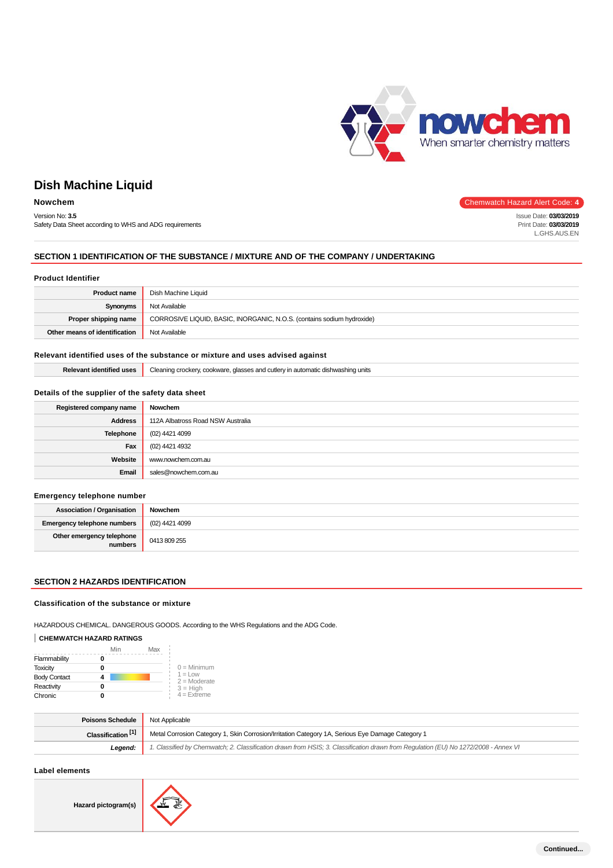

Issue Date: **03/03/2019** Print Date: **03/03/2019** L.GHS.AUS.EN

# **Dish Machine Liquid**

## **Nowchem** Chemwatch Hazard Alert Code: 4

Version No: **3.5** Safety Data Sheet according to WHS and ADG requirements

## **SECTION 1 IDENTIFICATION OF THE SUBSTANCE / MIXTURE AND OF THE COMPANY / UNDERTAKING**

## **Product Identifier**

| <b>Product name</b>           | Dish Machine Liquid                                                    |
|-------------------------------|------------------------------------------------------------------------|
| Synonyms                      | Not Available                                                          |
| Proper shipping name          | CORROSIVE LIQUID, BASIC, INORGANIC, N.O.S. (contains sodium hydroxide) |
| Other means of identification | Not Available                                                          |

## **Relevant identified uses of the substance or mixture and uses advised against**

| .<br>-<br>. .<br>dichuro<br>unit<br>shina<br>יהמי<br>™aπ.<br>$\sim$<br><br>$\sim$<br><br>na<br>UISHW?<br>كتعاب<br><b>UUUNWAIT</b><br>$\sim$<br>,,,,<br>$\sim$<br>- 336.<br>$\mathbf{u}$<br><b>Service</b> |
|-----------------------------------------------------------------------------------------------------------------------------------------------------------------------------------------------------------|
|-----------------------------------------------------------------------------------------------------------------------------------------------------------------------------------------------------------|

## **Details of the supplier of the safety data sheet**

| Registered company name | Nowchem                           |
|-------------------------|-----------------------------------|
| <b>Address</b>          | 112A Albatross Road NSW Australia |
| Telephone               | (02) 4421 4099                    |
| Fax                     | (02) 4421 4932                    |
| Website                 | www.nowchem.com.au                |
| Email                   | sales@nowchem.com.au              |
|                         |                                   |

## **Emergency telephone number**

| <b>Association / Organisation</b>    | Nowchem        |
|--------------------------------------|----------------|
| Emergency telephone numbers and      | (02) 4421 4099 |
| Other emergency telephone<br>numbers | 0413 809 255   |

## **SECTION 2 HAZARDS IDENTIFICATION**

## **Classification of the substance or mixture**

HAZARDOUS CHEMICAL. DANGEROUS GOODS. According to the WHS Regulations and the ADG Code.

# **CHEMWATCH HAZARD RATINGS**

|                     | Min | Max |                              |
|---------------------|-----|-----|------------------------------|
| Flammability        |     |     |                              |
| <b>Toxicity</b>     |     |     | $0 =$ Minimum                |
| <b>Body Contact</b> |     |     | $1 = 1$ OW<br>$2 =$ Moderate |
| Reactivity          |     |     | $3 = H$ igh                  |
| Chronic             |     |     | $4 =$ Extreme                |

| Poisons Schedule              | Not Applicable                                                                                                                      |
|-------------------------------|-------------------------------------------------------------------------------------------------------------------------------------|
| Classification <sup>[1]</sup> | Metal Corrosion Category 1, Skin Corrosion/Irritation Category 1A, Serious Eye Damage Category 1                                    |
| Legend:                       | 1. Classified by Chemwatch; 2. Classification drawn from HSIS; 3. Classification drawn from Requlation (EU) No 1272/2008 - Annex VI |

## **Label elements**

**Hazard pictogram(s)**

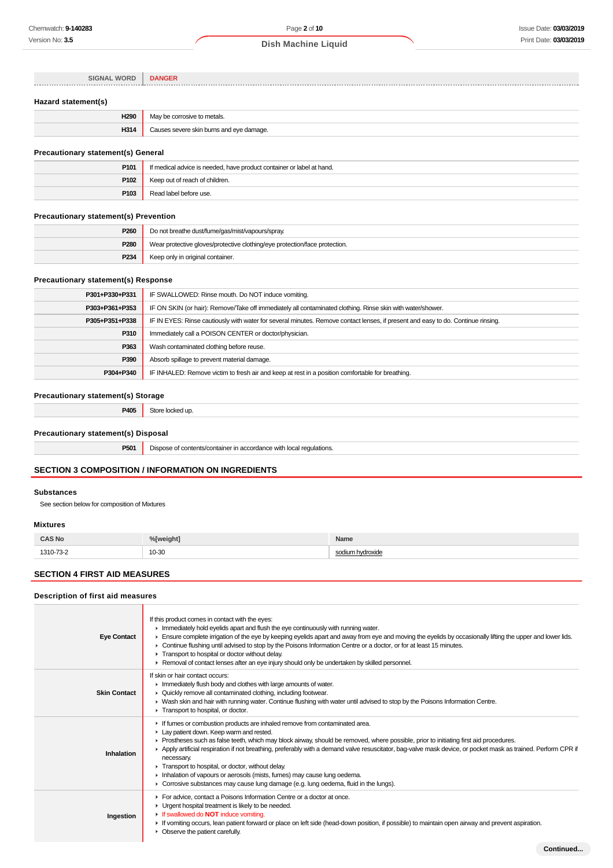| <b>SIGNAL WORD</b> | <b>DANGER</b> |
|--------------------|---------------|
|                    |               |
|                    |               |
|                    |               |

# **Hazard statement(s)**

| ലാവ | metals.                                     |
|-----|---------------------------------------------|
| H31 | burns and eve damage.<br>$\sim$<br>$\cdots$ |

# **Precautionary statement(s) General**

| P <sub>101</sub> | If medical advice is needed, have product container or label at hand. |
|------------------|-----------------------------------------------------------------------|
| P102             | Keep out of reach of children.                                        |
| P103             | Read label before use.                                                |

## **Precautionary statement(s) Prevention**

| P <sub>260</sub> | Do not breathe dust/fume/gas/mist/vapours/spray.                           |
|------------------|----------------------------------------------------------------------------|
| P280             | Wear protective gloves/protective clothing/eye protection/face protection. |
| <b>P234</b>      | Keep only in original container.                                           |

## **Precautionary statement(s) Response**

| P304+P340      | IF INHALED: Remove victim to fresh air and keep at rest in a position comfortable for breathing.                                 |
|----------------|----------------------------------------------------------------------------------------------------------------------------------|
| P390           | Absorb spillage to prevent material damage.                                                                                      |
| P363           | Wash contaminated clothing before reuse.                                                                                         |
| P310           | Immediately call a POISON CENTER or doctor/physician.                                                                            |
| P305+P351+P338 | IF IN EYES: Rinse cautiously with water for several minutes. Remove contact lenses, if present and easy to do. Continue rinsing. |
| P303+P361+P353 | IF ON SKIN (or hair): Remove/Take off immediately all contaminated clothing. Rinse skin with water/shower.                       |
| P301+P330+P331 | IF SWALLOWED: Rinse mouth. Do NOT induce vomiting.                                                                               |

## **Precautionary statement(s) Storage**

| P405                                | Store locked up.                                                    |
|-------------------------------------|---------------------------------------------------------------------|
| Precautionary statement(s) Disposal |                                                                     |
| P501                                | Dispose of contents/container in accordance with local regulations. |
|                                     |                                                                     |

# **SECTION 3 COMPOSITION / INFORMATION ON INGREDIENTS**

## **Substances**

See section below for composition of Mixtures

# **Mixtures**

Γ

Γ

| <b>CAS No</b> | %[weight] | Name     |
|---------------|-----------|----------|
|               |           | $\sim$   |
| 1310-73-2     | 10-30     | vdroxide |
| .             | .         | чи.      |

# **SECTION 4 FIRST AID MEASURES**

## **Description of first aid measures**

| <b>Eye Contact</b>  | If this product comes in contact with the eyes:<br>In Immediately hold eyelids apart and flush the eye continuously with running water.<br>Ensure complete irrigation of the eye by keeping eyelids apart and away from eye and moving the eyelids by occasionally lifting the upper and lower lids.<br>► Continue flushing until advised to stop by the Poisons Information Centre or a doctor, or for at least 15 minutes.<br>Transport to hospital or doctor without delay.<br>► Removal of contact lenses after an eye injury should only be undertaken by skilled personnel.                                                                                      |
|---------------------|------------------------------------------------------------------------------------------------------------------------------------------------------------------------------------------------------------------------------------------------------------------------------------------------------------------------------------------------------------------------------------------------------------------------------------------------------------------------------------------------------------------------------------------------------------------------------------------------------------------------------------------------------------------------|
| <b>Skin Contact</b> | If skin or hair contact occurs:<br>In mediately flush body and clothes with large amounts of water.<br>• Quickly remove all contaminated clothing, including footwear.<br>► Wash skin and hair with running water. Continue flushing with water until advised to stop by the Poisons Information Centre.<br>Transport to hospital, or doctor.                                                                                                                                                                                                                                                                                                                          |
| Inhalation          | If fumes or combustion products are inhaled remove from contaminated area.<br>Lay patient down. Keep warm and rested.<br>▶ Prostheses such as false teeth, which may block airway, should be removed, where possible, prior to initiating first aid procedures.<br>▶ Apply artificial respiration if not breathing, preferably with a demand valve resuscitator, bag-valve mask device, or pocket mask as trained. Perform CPR if<br>necessary.<br>Transport to hospital, or doctor, without delay.<br>Inhalation of vapours or aerosols (mists, fumes) may cause lung oedema.<br>► Corrosive substances may cause lung damage (e.g. lung oedema, fluid in the lungs). |
| Ingestion           | For advice, contact a Poisons Information Centre or a doctor at once.<br>• Urgent hospital treatment is likely to be needed.<br>If swallowed do <b>NOT</b> induce vomiting.<br>If vomiting occurs, lean patient forward or place on left side (head-down position, if possible) to maintain open airway and prevent aspiration.<br>• Observe the patient carefully.                                                                                                                                                                                                                                                                                                    |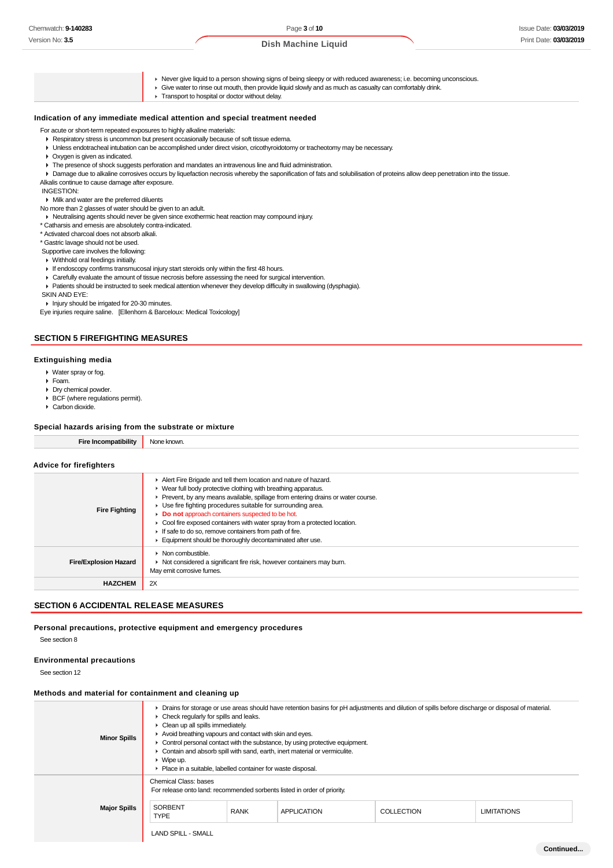Never give liquid to a person showing signs of being sleepy or with reduced awareness; i.e. becoming unconscious.

- Give water to rinse out mouth, then provide liquid slowly and as much as casualty can comfortably drink.
- **F** Transport to hospital or doctor without delay.

## **Indication of any immediate medical attention and special treatment needed**

For acute or short-term repeated exposures to highly alkaline materials:

- Respiratory stress is uncommon but present occasionally because of soft tissue edema.
- Unless endotracheal intubation can be accomplished under direct vision, cricothyroidotomy or tracheotomy may be necessary.
- Oxygen is given as indicated.
- The presence of shock suggests perforation and mandates an intravenous line and fluid administration.
- Damage due to alkaline corrosives occurs by liquefaction necrosis whereby the saponification of fats and solubilisation of proteins allow deep penetration into the tissue.
- Alkalis continue to cause damage after exposure.

INGESTION:

Milk and water are the preferred diluents

No more than 2 glasses of water should be given to an adult.

Neutralising agents should never be given since exothermic heat reaction may compound injury.

\* Catharsis and emesis are absolutely contra-indicated.

\* Activated charcoal does not absorb alkali.

\* Gastric lavage should not be used.

Supportive care involves the following:

- Withhold oral feedings initially. If endoscopy confirms transmucosal injury start steroids only within the first 48 hours.
- Carefully evaluate the amount of tissue necrosis before assessing the need for surgical intervention.

Patients should be instructed to seek medical attention whenever they develop difficulty in swallowing (dysphagia).

SKIN AND EYE:

Injury should be irrigated for 20-30 minutes.

Eye injuries require saline. [Ellenhorn & Barceloux: Medical Toxicology]

# **SECTION 5 FIREFIGHTING MEASURES**

## **Extinguishing media**

- Water spray or fog.
- Foam.
- Dry chemical powder.
- BCF (where regulations permit).
- Carbon dioxide.

# **Special hazards arising from the substrate or mixture**

| Special nazarus arismig from the substrate of inixture. |                                                                                                                                                                                                                                                                                                                                                                                                                                                                                                                                              |  |  |  |
|---------------------------------------------------------|----------------------------------------------------------------------------------------------------------------------------------------------------------------------------------------------------------------------------------------------------------------------------------------------------------------------------------------------------------------------------------------------------------------------------------------------------------------------------------------------------------------------------------------------|--|--|--|
| <b>Fire Incompatibility</b>                             | None known.                                                                                                                                                                                                                                                                                                                                                                                                                                                                                                                                  |  |  |  |
| <b>Advice for firefighters</b>                          |                                                                                                                                                                                                                                                                                                                                                                                                                                                                                                                                              |  |  |  |
| <b>Fire Fighting</b>                                    | Alert Fire Brigade and tell them location and nature of hazard.<br>► Wear full body protective clothing with breathing apparatus.<br>Prevent, by any means available, spillage from entering drains or water course.<br>▶ Use fire fighting procedures suitable for surrounding area.<br>Do not approach containers suspected to be hot.<br>• Cool fire exposed containers with water spray from a protected location.<br>If safe to do so, remove containers from path of fire.<br>Equipment should be thoroughly decontaminated after use. |  |  |  |
|                                                         | $\blacktriangleright$ Non combustible.                                                                                                                                                                                                                                                                                                                                                                                                                                                                                                       |  |  |  |

▶ Not considered a significant fire risk, however containers may burn.

# **SECTION 6 ACCIDENTAL RELEASE MEASURES**

**HAZCHEM** 2X

**Fire/Explosion Hazard**

## **Personal precautions, protective equipment and emergency procedures**

May emit corrosive fumes.

See section 8

## **Environmental precautions**

See section 12

## **Methods and material for containment and cleaning up**

| <b>Minor Spills</b> | $\triangleright$ Check regularly for spills and leaks.<br>$\triangleright$ Clean up all spills immediately.<br>Avoid breathing vapours and contact with skin and eyes.<br>$\triangleright$ Wipe up.<br>• Place in a suitable, labelled container for waste disposal. |             | • Control personal contact with the substance, by using protective equipment.<br>• Contain and absorb spill with sand, earth, inert material or vermiculite. | > Drains for storage or use areas should have retention basins for pH adjustments and dilution of spills before discharge or disposal of material. |                    |
|---------------------|----------------------------------------------------------------------------------------------------------------------------------------------------------------------------------------------------------------------------------------------------------------------|-------------|--------------------------------------------------------------------------------------------------------------------------------------------------------------|----------------------------------------------------------------------------------------------------------------------------------------------------|--------------------|
| <b>Major Spills</b> | Chemical Class: bases<br>For release onto land: recommended sorbents listed in order of priority.<br><b>SORBENT</b><br><b>TYPE</b><br><b>LAND SPILL - SMALL</b>                                                                                                      | <b>RANK</b> | <b>APPLICATION</b>                                                                                                                                           | COLLECTION                                                                                                                                         | <b>LIMITATIONS</b> |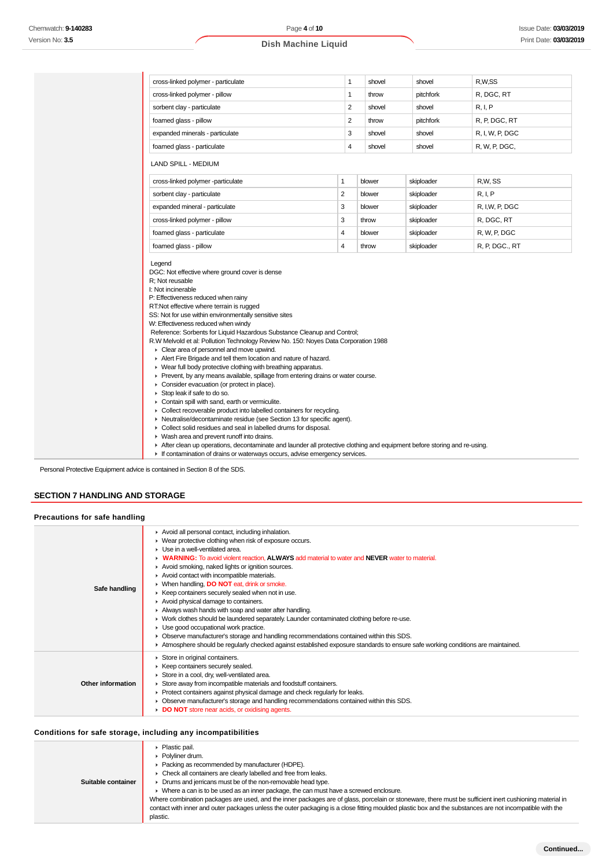| 1                                                                                                                                                                                                                                                                                                                                                                                                                                                                                                                                                                                                                                                                                                                                                                                                                                                                                                                                                                                                                                                                                                                                                           | shovel | shovel                                                 | R,W,SS                                                                           |
|-------------------------------------------------------------------------------------------------------------------------------------------------------------------------------------------------------------------------------------------------------------------------------------------------------------------------------------------------------------------------------------------------------------------------------------------------------------------------------------------------------------------------------------------------------------------------------------------------------------------------------------------------------------------------------------------------------------------------------------------------------------------------------------------------------------------------------------------------------------------------------------------------------------------------------------------------------------------------------------------------------------------------------------------------------------------------------------------------------------------------------------------------------------|--------|--------------------------------------------------------|----------------------------------------------------------------------------------|
| 1                                                                                                                                                                                                                                                                                                                                                                                                                                                                                                                                                                                                                                                                                                                                                                                                                                                                                                                                                                                                                                                                                                                                                           | throw  | pitchfork                                              | R, DGC, RT                                                                       |
| 2                                                                                                                                                                                                                                                                                                                                                                                                                                                                                                                                                                                                                                                                                                                                                                                                                                                                                                                                                                                                                                                                                                                                                           | shovel | shovel                                                 | R, I, P                                                                          |
| 2                                                                                                                                                                                                                                                                                                                                                                                                                                                                                                                                                                                                                                                                                                                                                                                                                                                                                                                                                                                                                                                                                                                                                           | throw  | pitchfork                                              | R, P, DGC, RT                                                                    |
| 3                                                                                                                                                                                                                                                                                                                                                                                                                                                                                                                                                                                                                                                                                                                                                                                                                                                                                                                                                                                                                                                                                                                                                           | shovel | shovel                                                 | R, I, W, P, DGC                                                                  |
| 4                                                                                                                                                                                                                                                                                                                                                                                                                                                                                                                                                                                                                                                                                                                                                                                                                                                                                                                                                                                                                                                                                                                                                           | shovel | shovel                                                 | R, W, P, DGC,                                                                    |
|                                                                                                                                                                                                                                                                                                                                                                                                                                                                                                                                                                                                                                                                                                                                                                                                                                                                                                                                                                                                                                                                                                                                                             |        |                                                        |                                                                                  |
| 1                                                                                                                                                                                                                                                                                                                                                                                                                                                                                                                                                                                                                                                                                                                                                                                                                                                                                                                                                                                                                                                                                                                                                           |        |                                                        | R,W, SS                                                                          |
| $\overline{2}$                                                                                                                                                                                                                                                                                                                                                                                                                                                                                                                                                                                                                                                                                                                                                                                                                                                                                                                                                                                                                                                                                                                                              |        |                                                        | R, I, P                                                                          |
| 3                                                                                                                                                                                                                                                                                                                                                                                                                                                                                                                                                                                                                                                                                                                                                                                                                                                                                                                                                                                                                                                                                                                                                           |        |                                                        | R, I,W, P, DGC                                                                   |
| 3                                                                                                                                                                                                                                                                                                                                                                                                                                                                                                                                                                                                                                                                                                                                                                                                                                                                                                                                                                                                                                                                                                                                                           |        |                                                        | R, DGC, RT                                                                       |
| 4                                                                                                                                                                                                                                                                                                                                                                                                                                                                                                                                                                                                                                                                                                                                                                                                                                                                                                                                                                                                                                                                                                                                                           |        |                                                        | R, W, P, DGC                                                                     |
| 4                                                                                                                                                                                                                                                                                                                                                                                                                                                                                                                                                                                                                                                                                                                                                                                                                                                                                                                                                                                                                                                                                                                                                           |        |                                                        | R, P, DGC., RT                                                                   |
| foamed glass - pillow<br>Legend<br>DGC: Not effective where ground cover is dense<br>R; Not reusable<br>I: Not incinerable<br>P: Effectiveness reduced when rainy<br>RT:Not effective where terrain is rugged<br>SS: Not for use within environmentally sensitive sites<br>W: Effectiveness reduced when windy<br>Reference: Sorbents for Liquid Hazardous Substance Cleanup and Control;<br>R.W Melvold et al: Pollution Technology Review No. 150: Noyes Data Corporation 1988<br>Clear area of personnel and move upwind.<br>Alert Fire Brigade and tell them location and nature of hazard.<br>• Wear full body protective clothing with breathing apparatus.<br>▶ Prevent, by any means available, spillage from entering drains or water course.<br>Consider evacuation (or protect in place).<br>Stop leak if safe to do so.<br>Contain spill with sand, earth or vermiculite.<br>• Collect recoverable product into labelled containers for recycling.<br>• Neutralise/decontaminate residue (see Section 13 for specific agent).<br>Collect solid residues and seal in labelled drums for disposal.<br>• Wash area and prevent runoff into drains. |        |                                                        |                                                                                  |
|                                                                                                                                                                                                                                                                                                                                                                                                                                                                                                                                                                                                                                                                                                                                                                                                                                                                                                                                                                                                                                                                                                                                                             |        | blower<br>blower<br>blower<br>throw<br>blower<br>throw | skiploader<br>skiploader<br>skiploader<br>skiploader<br>skiploader<br>skiploader |

If contamination of drains or waterways occurs, advise emergency services.

Personal Protective Equipment advice is contained in Section 8 of the SDS.

# **SECTION 7 HANDLING AND STORAGE**

| Precautions for safe handling |                                                                                                                                                                                                                                                                                                                                                                                                                                                                                                                                                                                                                                                                                                                                                                                                                                                                                                                                                         |
|-------------------------------|---------------------------------------------------------------------------------------------------------------------------------------------------------------------------------------------------------------------------------------------------------------------------------------------------------------------------------------------------------------------------------------------------------------------------------------------------------------------------------------------------------------------------------------------------------------------------------------------------------------------------------------------------------------------------------------------------------------------------------------------------------------------------------------------------------------------------------------------------------------------------------------------------------------------------------------------------------|
| Safe handling                 | Avoid all personal contact, including inhalation.<br>▶ Wear protective clothing when risk of exposure occurs.<br>$\blacktriangleright$ Use in a well-ventilated area.<br>• WARNING: To avoid violent reaction, ALWAYS add material to water and NEVER water to material.<br>Avoid smoking, naked lights or ignition sources.<br>Avoid contact with incompatible materials.<br>▶ When handling, DO NOT eat, drink or smoke.<br>▶ Keep containers securely sealed when not in use.<br>Avoid physical damage to containers.<br>Always wash hands with soap and water after handling.<br>► Work clothes should be laundered separately. Launder contaminated clothing before re-use.<br>Use good occupational work practice.<br>• Observe manufacturer's storage and handling recommendations contained within this SDS.<br>Atmosphere should be regularly checked against established exposure standards to ensure safe working conditions are maintained. |
| Other information             | Store in original containers.<br>▶ Keep containers securely sealed.<br>Store in a cool, dry, well-ventilated area.<br>Store away from incompatible materials and foodstuff containers.<br>▶ Protect containers against physical damage and check regularly for leaks.<br>• Observe manufacturer's storage and handling recommendations contained within this SDS.<br>DO NOT store near acids, or oxidising agents.                                                                                                                                                                                                                                                                                                                                                                                                                                                                                                                                      |

## **Conditions for safe storage, including any incompatibilities**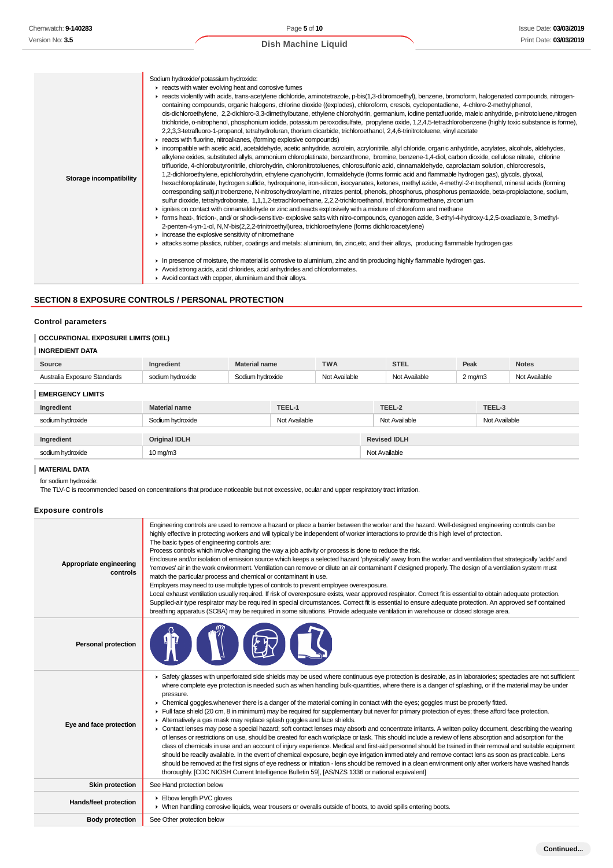| Storage incompatibility | Sodium hydroxide/ potassium hydroxide:<br>reacts with water evolving heat and corrosive fumes<br>F reacts violently with acids, trans-acetylene dichloride, aminotetrazole, p-bis(1,3-dibromoethyl), benzene, bromoform, halogenated compounds, nitrogen-<br>containing compounds, organic halogens, chlorine dioxide ((explodes), chloroform, cresols, cyclopentadiene, 4-chloro-2-methylphenol,<br>cis-dichloroethylene, 2,2-dichloro-3,3-dimethylbutane, ethylene chlorohydrin, germanium, iodine pentafluoride, maleic anhydride, p-nitrotoluene,nitrogen<br>trichloride, o-nitrophenol, phosphonium iodide, potassium peroxodisulfate, propylene oxide, 1,2,4,5-tetrachlorobenzene (highly toxic substance is forme),<br>2,2,3,3-tetrafluoro-1-propanol, tetrahydrofuran, thorium dicarbide, trichloroethanol, 2,4,6-trinitrotoluene, vinyl acetate<br>reacts with fluorine, nitroalkanes, (forming explosive compounds)<br>incompatible with acetic acid, acetaldehyde, acetic anhydride, acrolein, acrylonitrile, allyl chloride, organic anhydride, acrylates, alcohols, aldehydes,<br>alkylene oxides, substituted allyls, ammonium chloroplatinate, benzanthrone, bromine, benzene-1,4-diol, carbon dioxide, cellulose nitrate, chlorine<br>trifluoride, 4-chlorobutyronitrile, chlorohydrin, chloronitrotoluenes, chlorosulfonic acid, cinnamaldehyde, caprolactam solution, chlorocresols,<br>1,2-dichloroethylene, epichlorohydrin, ethylene cyanohydrin, formaldehyde (forms formic acid and flammable hydrogen gas), glycols, glyoxal,<br>hexachloroplatinate, hydrogen sulfide, hydroquinone, iron-silicon, isocyanates, ketones, methyl azide, 4-methyl-2-nitrophenol, mineral acids (forming<br>corresponding salt),nitrobenzene, N-nitrosohydroxylamine, nitrates pentol, phenols, phosphorus, phosphorus pentaoxide, beta-propiolactone, sodium,<br>sulfur dioxide, tetrahydroborate, 1,1,1,2-tetrachloroethane, 2,2,2-trichloroethanol, trichloronitromethane, zirconium<br>► ignites on contact with cinnamaldehyde or zinc and reacts explosively with a mixture of chloroform and methane<br>F forms heat-, friction-, and/ or shock-sensitive- explosive salts with nitro-compounds, cyanogen azide, 3-ethyl-4-hydroxy-1,2,5-oxadiazole, 3-methyl-<br>2-penten-4-yn-1-ol, N,N'-bis(2,2,2-trinitroethyl)urea, trichloroethylene (forms dichloroacetylene)<br>increase the explosive sensitivity of nitromethane<br>A attacks some plastics, rubber, coatings and metals: aluminium, tin, zinc, etc, and their alloys, producing flammable hydrogen gas<br>In presence of moisture, the material is corrosive to aluminium, zinc and tin producing highly flammable hydrogen gas.<br>Avoid strong acids, acid chlorides, acid anhydrides and chloroformates.<br>Avoid contact with copper, aluminium and their alloys. |
|-------------------------|-----------------------------------------------------------------------------------------------------------------------------------------------------------------------------------------------------------------------------------------------------------------------------------------------------------------------------------------------------------------------------------------------------------------------------------------------------------------------------------------------------------------------------------------------------------------------------------------------------------------------------------------------------------------------------------------------------------------------------------------------------------------------------------------------------------------------------------------------------------------------------------------------------------------------------------------------------------------------------------------------------------------------------------------------------------------------------------------------------------------------------------------------------------------------------------------------------------------------------------------------------------------------------------------------------------------------------------------------------------------------------------------------------------------------------------------------------------------------------------------------------------------------------------------------------------------------------------------------------------------------------------------------------------------------------------------------------------------------------------------------------------------------------------------------------------------------------------------------------------------------------------------------------------------------------------------------------------------------------------------------------------------------------------------------------------------------------------------------------------------------------------------------------------------------------------------------------------------------------------------------------------------------------------------------------------------------------------------------------------------------------------------------------------------------------------------------------------------------------------------------------------------------------------------------------------------------------------------------------------------------------------------------------------------------------------------------------------------------------------------------------------------------------------------------------------------------------------------------|
|-------------------------|-----------------------------------------------------------------------------------------------------------------------------------------------------------------------------------------------------------------------------------------------------------------------------------------------------------------------------------------------------------------------------------------------------------------------------------------------------------------------------------------------------------------------------------------------------------------------------------------------------------------------------------------------------------------------------------------------------------------------------------------------------------------------------------------------------------------------------------------------------------------------------------------------------------------------------------------------------------------------------------------------------------------------------------------------------------------------------------------------------------------------------------------------------------------------------------------------------------------------------------------------------------------------------------------------------------------------------------------------------------------------------------------------------------------------------------------------------------------------------------------------------------------------------------------------------------------------------------------------------------------------------------------------------------------------------------------------------------------------------------------------------------------------------------------------------------------------------------------------------------------------------------------------------------------------------------------------------------------------------------------------------------------------------------------------------------------------------------------------------------------------------------------------------------------------------------------------------------------------------------------------------------------------------------------------------------------------------------------------------------------------------------------------------------------------------------------------------------------------------------------------------------------------------------------------------------------------------------------------------------------------------------------------------------------------------------------------------------------------------------------------------------------------------------------------------------------------------------------------|

# **SECTION 8 EXPOSURE CONTROLS / PERSONAL PROTECTION**

## **Control parameters**

## **OCCUPATIONAL EXPOSURE LIMITS (OEL)**

## **INGREDIENT DATA**

| Source                                  | dient'                                    | <b>Material name</b>      | <b>TWA</b> | STEL   | Peak    | <b>Notes</b>     |
|-----------------------------------------|-------------------------------------------|---------------------------|------------|--------|---------|------------------|
| : Standards<br>Australia<br>- YNNSI IrA | Irovida<br>IVAIUC<br>$\sim$ $\sim$ $\sim$ | rdrovida<br>/uluvuud<br>. | باطط       | ilable | ? ma/m3 | <b>\vailable</b> |

# **EMERGENCY LIMITS**

| EMERGENCT LIMITS |                      |               |                     |               |  |
|------------------|----------------------|---------------|---------------------|---------------|--|
| Ingredient       | <b>Material name</b> | TEEL-1        | TEEL-2              | TEEL-3        |  |
| sodium hydroxide | Sodium hydroxide     | Not Available | Not Available       | Not Available |  |
| Ingredient       | <b>Original IDLH</b> |               | <b>Revised IDLH</b> |               |  |
| sodium hydroxide | $10 \text{ mg/m}$    |               | Not Available       |               |  |

# **MATERIAL DATA**

for sodium hydroxide:

The TLV-C is recommended based on concentrations that produce noticeable but not excessive, ocular and upper respiratory tract irritation.

## **Exposure controls**

| Appropriate engineering<br>controls | Engineering controls are used to remove a hazard or place a barrier between the worker and the hazard. Well-designed engineering controls can be<br>highly effective in protecting workers and will typically be independent of worker interactions to provide this high level of protection.<br>The basic types of engineering controls are:<br>Process controls which involve changing the way a job activity or process is done to reduce the risk.<br>Enclosure and/or isolation of emission source which keeps a selected hazard 'physically' away from the worker and ventilation that strategically 'adds' and<br>'removes' air in the work environment. Ventilation can remove or dilute an air contaminant if designed properly. The design of a ventilation system must<br>match the particular process and chemical or contaminant in use.<br>Employers may need to use multiple types of controls to prevent employee overexposure.<br>Local exhaust ventilation usually required. If risk of overexposure exists, wear approved respirator. Correct fit is essential to obtain adequate protection.<br>Supplied-air type respirator may be required in special circumstances. Correct fit is essential to ensure adequate protection. An approved self contained<br>breathing apparatus (SCBA) may be required in some situations. Provide adequate ventilation in warehouse or closed storage area.                                                                                                                                                                                      |
|-------------------------------------|--------------------------------------------------------------------------------------------------------------------------------------------------------------------------------------------------------------------------------------------------------------------------------------------------------------------------------------------------------------------------------------------------------------------------------------------------------------------------------------------------------------------------------------------------------------------------------------------------------------------------------------------------------------------------------------------------------------------------------------------------------------------------------------------------------------------------------------------------------------------------------------------------------------------------------------------------------------------------------------------------------------------------------------------------------------------------------------------------------------------------------------------------------------------------------------------------------------------------------------------------------------------------------------------------------------------------------------------------------------------------------------------------------------------------------------------------------------------------------------------------------------------------------------------------------------------------------------------------------|
| <b>Personal protection</b>          |                                                                                                                                                                                                                                                                                                                                                                                                                                                                                                                                                                                                                                                                                                                                                                                                                                                                                                                                                                                                                                                                                                                                                                                                                                                                                                                                                                                                                                                                                                                                                                                                        |
| Eye and face protection             | ► Safety glasses with unperforated side shields may be used where continuous eye protection is desirable, as in laboratories; spectacles are not sufficient<br>where complete eye protection is needed such as when handling bulk-quantities, where there is a danger of splashing, or if the material may be under<br>pressure.<br>• Chemical goggles whenever there is a danger of the material coming in contact with the eyes; goggles must be properly fitted.<br>Full face shield (20 cm, 8 in minimum) may be required for supplementary but never for primary protection of eyes; these afford face protection.<br>Alternatively a gas mask may replace splash goggles and face shields.<br>• Contact lenses may pose a special hazard; soft contact lenses may absorb and concentrate irritants. A written policy document, describing the wearing<br>of lenses or restrictions on use, should be created for each workplace or task. This should include a review of lens absorption and adsorption for the<br>class of chemicals in use and an account of injury experience. Medical and first-aid personnel should be trained in their removal and suitable equipment<br>should be readily available. In the event of chemical exposure, begin eye irrigation immediately and remove contact lens as soon as practicable. Lens<br>should be removed at the first signs of eye redness or irritation - lens should be removed in a clean environment only after workers have washed hands<br>thoroughly. [CDC NIOSH Current Intelligence Bulletin 59], [AS/NZS 1336 or national equivalent] |
| <b>Skin protection</b>              | See Hand protection below                                                                                                                                                                                                                                                                                                                                                                                                                                                                                                                                                                                                                                                                                                                                                                                                                                                                                                                                                                                                                                                                                                                                                                                                                                                                                                                                                                                                                                                                                                                                                                              |
| Hands/feet protection               | Elbow length PVC gloves<br>• When handling corrosive liquids, wear trousers or overalls outside of boots, to avoid spills entering boots.                                                                                                                                                                                                                                                                                                                                                                                                                                                                                                                                                                                                                                                                                                                                                                                                                                                                                                                                                                                                                                                                                                                                                                                                                                                                                                                                                                                                                                                              |
| <b>Body protection</b>              | See Other protection below                                                                                                                                                                                                                                                                                                                                                                                                                                                                                                                                                                                                                                                                                                                                                                                                                                                                                                                                                                                                                                                                                                                                                                                                                                                                                                                                                                                                                                                                                                                                                                             |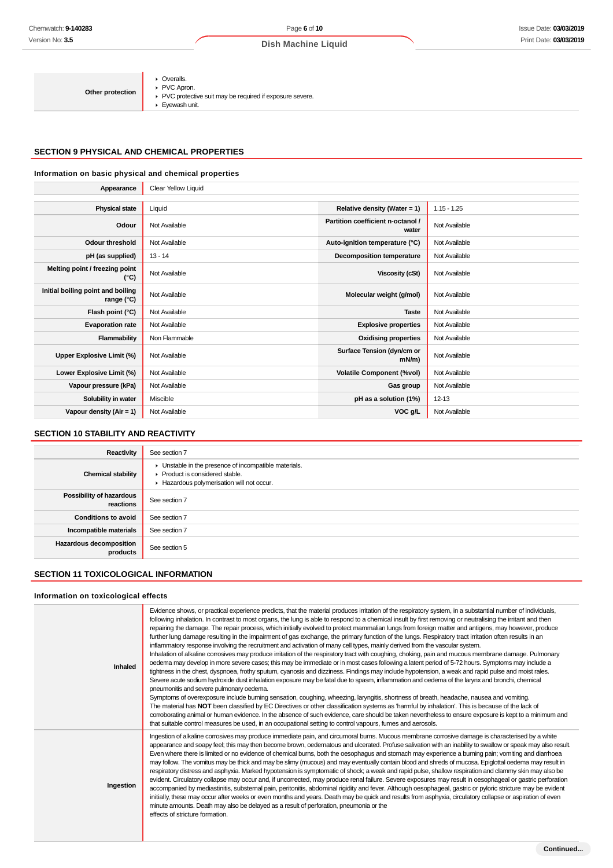| Other protection | • Overalls.<br>PVC Apron.<br>▶ PVC protective suit may be required if exposure severe.<br>$\blacktriangleright$ Eyewash unit. |
|------------------|-------------------------------------------------------------------------------------------------------------------------------|
|------------------|-------------------------------------------------------------------------------------------------------------------------------|

# **SECTION 9 PHYSICAL AND CHEMICAL PROPERTIES**

## **Information on basic physical and chemical properties**

| Appearance                                      | Clear Yellow Liquid |                                            |               |
|-------------------------------------------------|---------------------|--------------------------------------------|---------------|
|                                                 |                     |                                            |               |
| <b>Physical state</b>                           | Liquid              | Relative density (Water = 1)               | $1.15 - 1.25$ |
| Odour                                           | Not Available       | Partition coefficient n-octanol /<br>water | Not Available |
| <b>Odour threshold</b>                          | Not Available       | Auto-ignition temperature (°C)             | Not Available |
| pH (as supplied)                                | $13 - 14$           | Decomposition temperature                  | Not Available |
| Melting point / freezing point<br>(°C)          | Not Available       | <b>Viscosity (cSt)</b>                     | Not Available |
| Initial boiling point and boiling<br>range (°C) | Not Available       | Molecular weight (g/mol)                   | Not Available |
| Flash point (°C)                                | Not Available       | <b>Taste</b>                               | Not Available |
| <b>Evaporation rate</b>                         | Not Available       | <b>Explosive properties</b>                | Not Available |
| Flammability                                    | Non Flammable       | <b>Oxidising properties</b>                | Not Available |
| Upper Explosive Limit (%)                       | Not Available       | Surface Tension (dyn/cm or<br>$mN/m$ )     | Not Available |
| Lower Explosive Limit (%)                       | Not Available       | <b>Volatile Component (%vol)</b>           | Not Available |
| Vapour pressure (kPa)                           | Not Available       | Gas group                                  | Not Available |
| Solubility in water                             | Miscible            | pH as a solution (1%)                      | $12 - 13$     |
| Vapour density $(Air = 1)$                      | Not Available       | VOC g/L                                    | Not Available |
|                                                 |                     |                                            |               |

## **SECTION 10 STABILITY AND REACTIVITY**

| Reactivity                                 | See section 7                                                                                                                        |
|--------------------------------------------|--------------------------------------------------------------------------------------------------------------------------------------|
| <b>Chemical stability</b>                  | • Unstable in the presence of incompatible materials.<br>▶ Product is considered stable.<br>Hazardous polymerisation will not occur. |
| Possibility of hazardous<br>reactions      | See section 7                                                                                                                        |
| <b>Conditions to avoid</b>                 | See section 7                                                                                                                        |
| Incompatible materials                     | See section 7                                                                                                                        |
| <b>Hazardous decomposition</b><br>products | See section 5                                                                                                                        |

# **SECTION 11 TOXICOLOGICAL INFORMATION**

## **Information on toxicological effects**

| Inhaled   | Evidence shows, or practical experience predicts, that the material produces irritation of the respiratory system, in a substantial number of individuals,<br>following inhalation. In contrast to most organs, the lung is able to respond to a chemical insult by first removing or neutralising the irritant and then<br>repairing the damage. The repair process, which initially evolved to protect mammalian lungs from foreign matter and antigens, may however, produce<br>further lung damage resulting in the impairment of gas exchange, the primary function of the lungs. Respiratory tract irritation often results in an<br>inflammatory response involving the recruitment and activation of many cell types, mainly derived from the vascular system.<br>Inhalation of alkaline corrosives may produce irritation of the respiratory tract with coughing, choking, pain and mucous membrane damage. Pulmonary<br>oedema may develop in more severe cases; this may be immediate or in most cases following a latent period of 5-72 hours. Symptoms may include a<br>tightness in the chest, dyspnoea, frothy sputum, cyanosis and dizziness. Findings may include hypotension, a weak and rapid pulse and moist rales.<br>Severe acute sodium hydroxide dust inhalation exposure may be fatal due to spasm, inflammation and oedema of the larynx and bronchi, chemical<br>pneumonitis and severe pulmonary oedema.<br>Symptoms of overexposure include burning sensation, coughing, wheezing, laryngitis, shortness of breath, headache, nausea and vomiting.<br>The material has NOT been classified by EC Directives or other classification systems as 'harmful by inhalation'. This is because of the lack of<br>corroborating animal or human evidence. In the absence of such evidence, care should be taken nevertheless to ensure exposure is kept to a minimum and<br>that suitable control measures be used, in an occupational setting to control vapours, fumes and aerosols. |
|-----------|-------------------------------------------------------------------------------------------------------------------------------------------------------------------------------------------------------------------------------------------------------------------------------------------------------------------------------------------------------------------------------------------------------------------------------------------------------------------------------------------------------------------------------------------------------------------------------------------------------------------------------------------------------------------------------------------------------------------------------------------------------------------------------------------------------------------------------------------------------------------------------------------------------------------------------------------------------------------------------------------------------------------------------------------------------------------------------------------------------------------------------------------------------------------------------------------------------------------------------------------------------------------------------------------------------------------------------------------------------------------------------------------------------------------------------------------------------------------------------------------------------------------------------------------------------------------------------------------------------------------------------------------------------------------------------------------------------------------------------------------------------------------------------------------------------------------------------------------------------------------------------------------------------------------------------------------------------------------------------------------------------------|
| Ingestion | Ingestion of alkaline corrosives may produce immediate pain, and circumoral burns. Mucous membrane corrosive damage is characterised by a white<br>appearance and soapy feel; this may then become brown, oedematous and ulcerated. Profuse salivation with an inability to swallow or speak may also result.<br>Even where there is limited or no evidence of chemical burns, both the oesophagus and stomach may experience a burning pain; vomiting and diarrhoea<br>may follow. The vomitus may be thick and may be slimy (mucous) and may eventually contain blood and shreds of mucosa. Epiglottal oedema may result in<br>respiratory distress and asphyxia. Marked hypotension is symptomatic of shock; a weak and rapid pulse, shallow respiration and clammy skin may also be<br>evident. Circulatory collapse may occur and, if uncorrected, may produce renal failure. Severe exposures may result in oesophageal or gastric perforation<br>accompanied by mediastinitis, substernal pain, peritonitis, abdominal rigidity and fever. Although oesophageal, gastric or pyloric stricture may be evident<br>initially, these may occur after weeks or even months and years. Death may be quick and results from asphyxia, circulatory collapse or aspiration of even<br>minute amounts. Death may also be delayed as a result of perforation, pneumonia or the<br>effects of stricture formation.                                                                                                                                                                                                                                                                                                                                                                                                                                                                                                                                                                                               |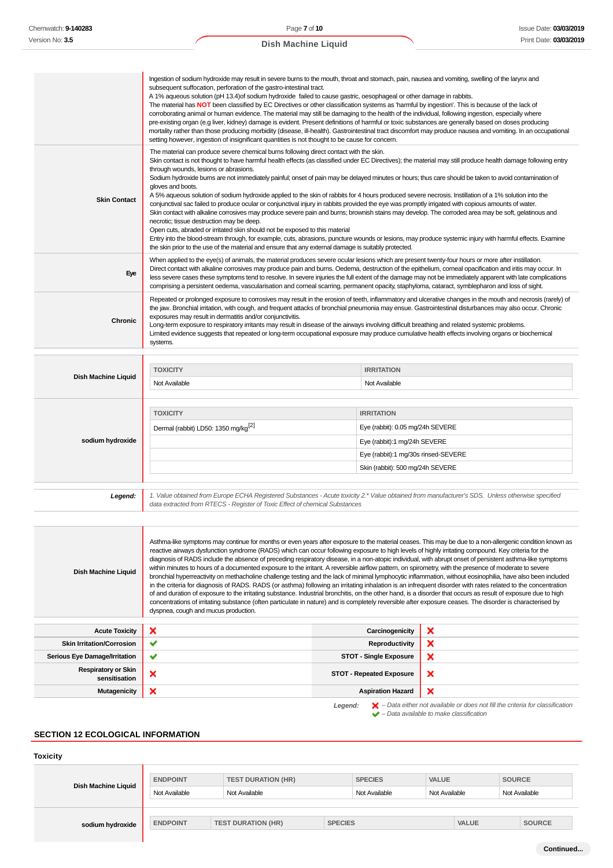|                            | Ingestion of sodium hydroxide may result in severe burns to the mouth, throat and stomach, pain, nausea and vomiting, swelling of the larynx and<br>subsequent suffocation, perforation of the gastro-intestinal tract.<br>A 1% aqueous solution (pH 13.4) of sodium hydroxide failed to cause gastric, oesophageal or other damage in rabbits.<br>The material has NOT been classified by EC Directives or other classification systems as 'harmful by ingestion'. This is because of the lack of<br>corroborating animal or human evidence. The material may still be damaging to the health of the individual, following ingestion, especially where<br>pre-existing organ (e.g liver, kidney) damage is evident. Present definitions of harmful or toxic substances are generally based on doses producing<br>mortality rather than those producing morbidity (disease, ill-health). Gastrointestinal tract discomfort may produce nausea and vomiting. In an occupational<br>setting however, ingestion of insignificant quantities is not thought to be cause for concern.                                                                                                                                                                                                                                                                     |                                                                                                                                                                                                                                                                                                                                                                                                                                                                                                                                                                                                                                                     |  |  |
|----------------------------|------------------------------------------------------------------------------------------------------------------------------------------------------------------------------------------------------------------------------------------------------------------------------------------------------------------------------------------------------------------------------------------------------------------------------------------------------------------------------------------------------------------------------------------------------------------------------------------------------------------------------------------------------------------------------------------------------------------------------------------------------------------------------------------------------------------------------------------------------------------------------------------------------------------------------------------------------------------------------------------------------------------------------------------------------------------------------------------------------------------------------------------------------------------------------------------------------------------------------------------------------------------------------------------------------------------------------------------------------|-----------------------------------------------------------------------------------------------------------------------------------------------------------------------------------------------------------------------------------------------------------------------------------------------------------------------------------------------------------------------------------------------------------------------------------------------------------------------------------------------------------------------------------------------------------------------------------------------------------------------------------------------------|--|--|
| <b>Skin Contact</b>        | The material can produce severe chemical burns following direct contact with the skin.<br>Skin contact is not thought to have harmful health effects (as classified under EC Directives); the material may still produce health damage following entry<br>through wounds, lesions or abrasions.<br>Sodium hydroxide burns are not immediately painful; onset of pain may be delayed minutes or hours; thus care should be taken to avoid contamination of<br>gloves and boots.<br>A 5% aqueous solution of sodium hydroxide applied to the skin of rabbits for 4 hours produced severe necrosis. Instillation of a 1% solution into the<br>conjunctival sac failed to produce ocular or conjunctival injury in rabbits provided the eye was promptly irrigated with copious amounts of water.<br>Skin contact with alkaline corrosives may produce severe pain and burns; brownish stains may develop. The corroded area may be soft, gelatinous and<br>necrotic; tissue destruction may be deep.<br>Open cuts, abraded or irritated skin should not be exposed to this material<br>Entry into the blood-stream through, for example, cuts, abrasions, puncture wounds or lesions, may produce systemic injury with harmful effects. Examine<br>the skin prior to the use of the material and ensure that any external damage is suitably protected. |                                                                                                                                                                                                                                                                                                                                                                                                                                                                                                                                                                                                                                                     |  |  |
| Eye                        | When applied to the eye(s) of animals, the material produces severe ocular lesions which are present twenty-four hours or more after instillation.<br>Direct contact with alkaline corrosives may produce pain and burns. Oedema, destruction of the epithelium, corneal opacification and iritis may occur. In<br>less severe cases these symptoms tend to resolve. In severe injuries the full extent of the damage may not be immediately apparent with late complications<br>comprising a persistent oedema, vascularisation and corneal scarring, permanent opacity, staphyloma, cataract, symblepharon and loss of sight.                                                                                                                                                                                                                                                                                                                                                                                                                                                                                                                                                                                                                                                                                                                      |                                                                                                                                                                                                                                                                                                                                                                                                                                                                                                                                                                                                                                                     |  |  |
| <b>Chronic</b>             | Repeated or prolonged exposure to corrosives may result in the erosion of teeth, inflammatory and ulcerative changes in the mouth and necrosis (rarely) of<br>the jaw. Bronchial irritation, with cough, and frequent attacks of bronchial pneumonia may ensue. Gastrointestinal disturbances may also occur. Chronic<br>exposures may result in dermatitis and/or conjunctivitis.<br>Long-term exposure to respiratory irritants may result in disease of the airways involving difficult breathing and related systemic problems.<br>Limited evidence suggests that repeated or long-term occupational exposure may produce cumulative health effects involving organs or biochemical<br>systems.                                                                                                                                                                                                                                                                                                                                                                                                                                                                                                                                                                                                                                                  |                                                                                                                                                                                                                                                                                                                                                                                                                                                                                                                                                                                                                                                     |  |  |
|                            |                                                                                                                                                                                                                                                                                                                                                                                                                                                                                                                                                                                                                                                                                                                                                                                                                                                                                                                                                                                                                                                                                                                                                                                                                                                                                                                                                      |                                                                                                                                                                                                                                                                                                                                                                                                                                                                                                                                                                                                                                                     |  |  |
|                            | <b>TOXICITY</b>                                                                                                                                                                                                                                                                                                                                                                                                                                                                                                                                                                                                                                                                                                                                                                                                                                                                                                                                                                                                                                                                                                                                                                                                                                                                                                                                      | <b>IRRITATION</b>                                                                                                                                                                                                                                                                                                                                                                                                                                                                                                                                                                                                                                   |  |  |
| Dish Machine Liquid        | Not Available                                                                                                                                                                                                                                                                                                                                                                                                                                                                                                                                                                                                                                                                                                                                                                                                                                                                                                                                                                                                                                                                                                                                                                                                                                                                                                                                        | Not Available                                                                                                                                                                                                                                                                                                                                                                                                                                                                                                                                                                                                                                       |  |  |
| sodium hydroxide           | <b>TOXICITY</b><br>Dermal (rabbit) LD50: 1350 mg/kg <sup>[2]</sup>                                                                                                                                                                                                                                                                                                                                                                                                                                                                                                                                                                                                                                                                                                                                                                                                                                                                                                                                                                                                                                                                                                                                                                                                                                                                                   | <b>IRRITATION</b><br>Eye (rabbit): 0.05 mg/24h SEVERE<br>Eye (rabbit):1 mg/24h SEVERE<br>Eye (rabbit):1 mg/30s rinsed-SEVERE                                                                                                                                                                                                                                                                                                                                                                                                                                                                                                                        |  |  |
|                            |                                                                                                                                                                                                                                                                                                                                                                                                                                                                                                                                                                                                                                                                                                                                                                                                                                                                                                                                                                                                                                                                                                                                                                                                                                                                                                                                                      | Skin (rabbit): 500 mg/24h SEVERE                                                                                                                                                                                                                                                                                                                                                                                                                                                                                                                                                                                                                    |  |  |
| Legend:                    | 1. Value obtained from Europe ECHA Registered Substances - Acute toxicity 2.* Value obtained from manufacturer's SDS. Unless otherwise specified<br>data extracted from RTECS - Register of Toxic Effect of chemical Substances                                                                                                                                                                                                                                                                                                                                                                                                                                                                                                                                                                                                                                                                                                                                                                                                                                                                                                                                                                                                                                                                                                                      |                                                                                                                                                                                                                                                                                                                                                                                                                                                                                                                                                                                                                                                     |  |  |
|                            |                                                                                                                                                                                                                                                                                                                                                                                                                                                                                                                                                                                                                                                                                                                                                                                                                                                                                                                                                                                                                                                                                                                                                                                                                                                                                                                                                      |                                                                                                                                                                                                                                                                                                                                                                                                                                                                                                                                                                                                                                                     |  |  |
| <b>Dish Machine Liquid</b> | reactive airways dysfunction syndrome (RADS) which can occur following exposure to high levels of highly irritating compound. Key criteria for the<br>within minutes to hours of a documented exposure to the irritant. A reversible airflow pattern, on spirometry, with the presence of moderate to severe<br>of and duration of exposure to the irritating substance. Industrial bronchitis, on the other hand, is a disorder that occurs as result of exposure due to high<br>concentrations of irritating substance (often particulate in nature) and is completely reversible after exposure ceases. The disorder is characterised by                                                                                                                                                                                                                                                                                                                                                                                                                                                                                                                                                                                                                                                                                                          | Asthma-like symptoms may continue for months or even years after exposure to the material ceases. This may be due to a non-allergenic condition known as<br>diagnosis of RADS include the absence of preceding respiratory disease, in a non-atopic individual, with abrupt onset of persistent asthma-like symptoms<br>bronchial hyperreactivity on methacholine challenge testing and the lack of minimal lymphocytic inflammation, without eosinophilia, have also been included<br>in the criteria for diagnosis of RADS. RADS (or asthma) following an irritating inhalation is an infrequent disorder with rates related to the concentration |  |  |
|                            | dyspnea, cough and mucus production.                                                                                                                                                                                                                                                                                                                                                                                                                                                                                                                                                                                                                                                                                                                                                                                                                                                                                                                                                                                                                                                                                                                                                                                                                                                                                                                 |                                                                                                                                                                                                                                                                                                                                                                                                                                                                                                                                                                                                                                                     |  |  |

| <b>Acute Toxicity</b>                       | $\boldsymbol{\mathsf{x}}$ | Carcinogenicity                 |                                                                                                    |
|---------------------------------------------|---------------------------|---------------------------------|----------------------------------------------------------------------------------------------------|
| <b>Skin Irritation/Corrosion</b>            | ╰                         | Reproductivity                  | ×                                                                                                  |
| <b>Serious Eye Damage/Irritation</b>        | $\checkmark$              | <b>STOT - Single Exposure</b>   | ×                                                                                                  |
| <b>Respiratory or Skin</b><br>sensitisation | ×                         | <b>STOT - Repeated Exposure</b> | ×                                                                                                  |
| <b>Mutagenicity</b>                         | $\boldsymbol{\mathsf{x}}$ | <b>Aspiration Hazard</b>        | $\boldsymbol{\mathsf{x}}$                                                                          |
|                                             |                           | Legend:                         | $\blacktriangleright$ - Data either not available or does not fill the criteria for classification |

 $\blacktriangleright$  – Data available to make classification

# **SECTION 12 ECOLOGICAL INFORMATION**

| <b>Toxicity</b>     |                                              |                           |                                                 |               |               |              |  |               |
|---------------------|----------------------------------------------|---------------------------|-------------------------------------------------|---------------|---------------|--------------|--|---------------|
| Dish Machine Liquid | <b>ENDPOINT</b><br><b>TEST DURATION (HR)</b> |                           | <b>SOURCE</b><br><b>VALUE</b><br><b>SPECIES</b> |               |               |              |  |               |
|                     | Not Available                                | Not Available             |                                                 | Not Available | Not Available |              |  | Not Available |
|                     |                                              |                           |                                                 |               |               |              |  |               |
| sodium hydroxide    | <b>ENDPOINT</b>                              | <b>TEST DURATION (HR)</b> | <b>SPECIES</b>                                  |               |               | <b>VALUE</b> |  | <b>SOURCE</b> |
|                     |                                              |                           |                                                 |               |               |              |  |               |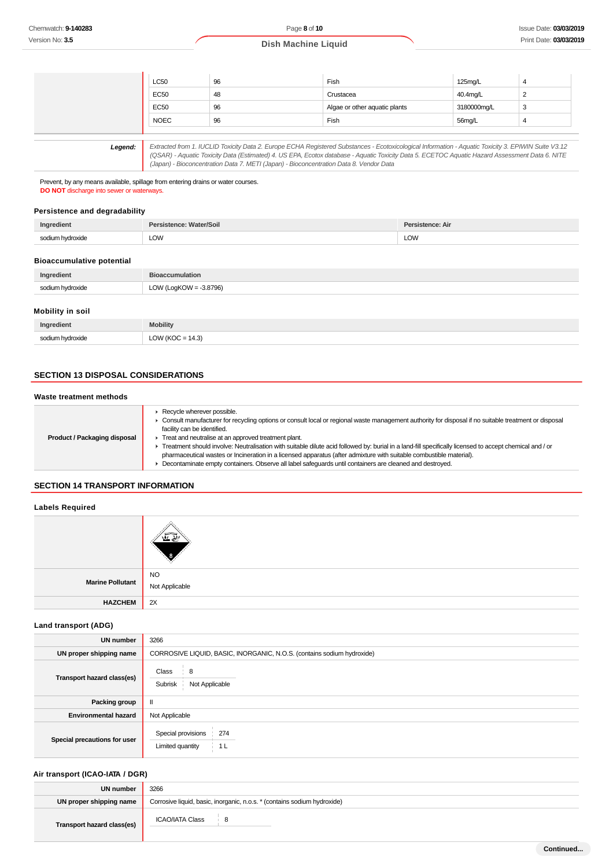| <b>LC50</b> | 96 | Fish                          | 125mg/L     |
|-------------|----|-------------------------------|-------------|
| EC50        | 48 | Crustacea                     | 40.4mg/L    |
| <b>EC50</b> | 96 | Algae or other aquatic plants | 3180000mg/L |
| <b>NOEC</b> | 96 | Fish                          | 56mg/L      |

**Legend:** Extracted from 1. IUCLID Toxicity Data 2. Europe ECHA Registered Substances - Ecotoxicological Information - Aquatic Toxicity 3. EPIWIN Suite V3.12 (QSAR) - Aquatic Toxicity Data (Estimated) 4. US EPA, Ecotox database - Aquatic Toxicity Data 5. ECETOC Aquatic Hazard Assessment Data 6. NITE (Japan) - Bioconcentration Data 7. METI (Japan) - Bioconcentration Data 8. Vendor Data

Prevent, by any means available, spillage from entering drains or water courses. **DO NOT** discharge into sewer or waterways.

## **Persistence and degradability**

| Ingredient       | sistence: Water/Soil | Persistence: Air |
|------------------|----------------------|------------------|
| sodium hydroxide | LOW                  | <b>LOW</b>       |

## **Bioaccumulative potential**

| Ingredient       | <b>Bioaccumulation</b>    |
|------------------|---------------------------|
| sodium hydroxide | LOW (LogKOW = $-3.8796$ ) |
|                  |                           |

## **Mobility in soil**

| Ingredient       | <b>Mobility</b>                             |
|------------------|---------------------------------------------|
| sodium hydroxide | (14.3)<br>OW (KOC<br>∽<br>$\cdot$ - $\cdot$ |

## **SECTION 13 DISPOSAL CONSIDERATIONS**

## **Waste treatment methods**

| Product / Packaging disposal | Recycle wherever possible.<br>Consult manufacturer for recycling options or consult local or regional waste management authority for disposal if no suitable treatment or disposal<br>facility can be identified.<br>Treat and neutralise at an approved treatment plant.<br>Treatment should involve: Neutralisation with suitable dilute acid followed by: burial in a land-fill specifically licensed to accept chemical and / or<br>pharmaceutical wastes or Incineration in a licensed apparatus (after admixture with suitable combustible material).<br>Decontaminate empty containers. Observe all label safequards until containers are cleaned and destroyed. |
|------------------------------|-------------------------------------------------------------------------------------------------------------------------------------------------------------------------------------------------------------------------------------------------------------------------------------------------------------------------------------------------------------------------------------------------------------------------------------------------------------------------------------------------------------------------------------------------------------------------------------------------------------------------------------------------------------------------|
|------------------------------|-------------------------------------------------------------------------------------------------------------------------------------------------------------------------------------------------------------------------------------------------------------------------------------------------------------------------------------------------------------------------------------------------------------------------------------------------------------------------------------------------------------------------------------------------------------------------------------------------------------------------------------------------------------------------|

## **SECTION 14 TRANSPORT INFORMATION**

## **Labels Required**

| Marine Pollutant | NO<br>Not Applicable |
|------------------|----------------------|
| <b>HAZCHEM</b>   | 2X                   |

## **Land transport (ADG)**

| <b>UN number</b>             | 3266                                                                   |
|------------------------------|------------------------------------------------------------------------|
| UN proper shipping name      | CORROSIVE LIQUID, BASIC, INORGANIC, N.O.S. (contains sodium hydroxide) |
| Transport hazard class(es)   | Class<br>8<br>Subrisk<br>Not Applicable                                |
| Packing group                |                                                                        |
| <b>Environmental hazard</b>  | Not Applicable                                                         |
| Special precautions for user | Special provisions<br>274<br>Limited quantity<br>1 <sub>L</sub>        |

# **Air transport (ICAO-IATA / DGR)**

| UN number                  | 3266                                                                     |
|----------------------------|--------------------------------------------------------------------------|
| UN proper shipping name    | Corrosive liquid, basic, inorganic, n.o.s. * (contains sodium hydroxide) |
| Transport hazard class(es) | <b>ICAO/IATA Class</b><br>$^{\circ}$ 8                                   |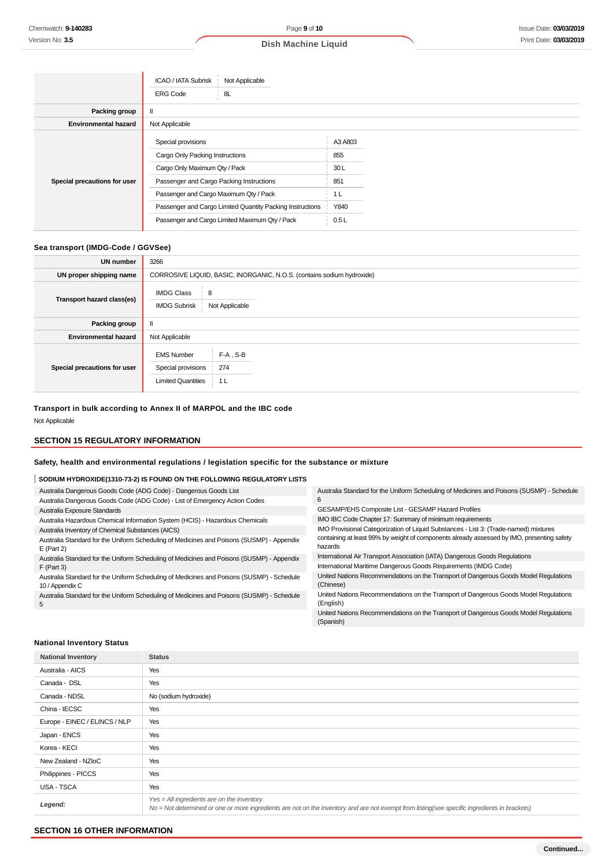|                              | ICAO / IATA Subrisk<br>Not Applicable                     |         |
|------------------------------|-----------------------------------------------------------|---------|
|                              | ∣ 8L<br><b>ERG Code</b>                                   |         |
| Packing group                |                                                           |         |
| <b>Environmental hazard</b>  | Not Applicable                                            |         |
| Special precautions for user | Special provisions                                        | A3 A803 |
|                              | Cargo Only Packing Instructions                           | 855     |
|                              | Cargo Only Maximum Qty / Pack                             | 30L     |
|                              | Passenger and Cargo Packing Instructions                  | 851     |
|                              | Passenger and Cargo Maximum Qty / Pack                    | 1 L     |
|                              | Passenger and Cargo Limited Quantity Packing Instructions | Y840    |
|                              | Passenger and Cargo Limited Maximum Qty / Pack            | 0.5L    |

# **Sea transport (IMDG-Code / GGVSee)**

| <b>UN number</b>             | 3266                                                                                              |
|------------------------------|---------------------------------------------------------------------------------------------------|
| UN proper shipping name      | CORROSIVE LIQUID, BASIC, INORGANIC, N.O.S. (contains sodium hydroxide)                            |
| Transport hazard class(es)   | <b>IMDG Class</b><br>8<br>Not Applicable<br><b>IMDG Subrisk</b>                                   |
| Packing group                | Ш                                                                                                 |
| <b>Environmental hazard</b>  | Not Applicable                                                                                    |
| Special precautions for user | <b>EMS Number</b><br>$F-A$ , S-B<br>Special provisions<br>274<br><b>Limited Quantities</b><br>1 L |

**Transport in bulk according to Annex II of MARPOL and the IBC code** Not Applicable

## **SECTION 15 REGULATORY INFORMATION**

## **Safety, health and environmental regulations / legislation specific for the substance or mixture**

# **SODIUM HYDROXIDE(1310-73-2) IS FOUND ON THE FOLLOWING REGULATORY LISTS**

| Australia Dangerous Goods Code (ADG Code) - Dangerous Goods List                                             | Australia Standard for the Uniform Scheduling of Medicines and Poisons (SUSMP) - Schedule             |
|--------------------------------------------------------------------------------------------------------------|-------------------------------------------------------------------------------------------------------|
| Australia Dangerous Goods Code (ADG Code) - List of Emergency Action Codes                                   |                                                                                                       |
| Australia Exposure Standards                                                                                 | GESAMP/EHS Composite List - GESAMP Hazard Profiles                                                    |
| Australia Hazardous Chemical Information System (HCIS) - Hazardous Chemicals                                 | IMO IBC Code Chapter 17: Summary of minimum requirements                                              |
| Australia Inventory of Chemical Substances (AICS)                                                            | IMO Provisional Categorization of Liquid Substances - List 3: (Trade-named) mixtures                  |
| Australia Standard for the Uniform Scheduling of Medicines and Poisons (SUSMP) - Appendix<br>$E$ (Part 2)    | containing at least 99% by weight of components already assessed by IMO, presenting safety<br>hazards |
| Australia Standard for the Uniform Scheduling of Medicines and Poisons (SUSMP) - Appendix                    | International Air Transport Association (IATA) Dangerous Goods Regulations                            |
| $F$ (Part 3)                                                                                                 | International Maritime Dangerous Goods Requirements (IMDG Code)                                       |
| Australia Standard for the Uniform Scheduling of Medicines and Poisons (SUSMP) - Schedule<br>10 / Appendix C | United Nations Recommendations on the Transport of Dangerous Goods Model Regulations<br>(Chinese)     |
| Australia Standard for the Uniform Scheduling of Medicines and Poisons (SUSMP) - Schedule<br>5               | United Nations Recommendations on the Transport of Dangerous Goods Model Regulations<br>(English)     |

United Nations Recommendations on the Transport of Dangerous Goods Model Regulations (Spanish)

## **National Inventory Status**

| <b>National Inventory</b>     | <b>Status</b>                                                                                                                                                                                 |
|-------------------------------|-----------------------------------------------------------------------------------------------------------------------------------------------------------------------------------------------|
| Australia - AICS              | Yes                                                                                                                                                                                           |
| Canada - DSL                  | Yes                                                                                                                                                                                           |
| Canada - NDSL                 | No (sodium hydroxide)                                                                                                                                                                         |
| China - IECSC                 | Yes                                                                                                                                                                                           |
| Europe - EINEC / ELINCS / NLP | Yes                                                                                                                                                                                           |
| Japan - ENCS                  | Yes                                                                                                                                                                                           |
| Korea - KECI                  | Yes                                                                                                                                                                                           |
| New Zealand - NZIoC           | Yes                                                                                                                                                                                           |
| Philippines - PICCS           | Yes                                                                                                                                                                                           |
| USA - TSCA                    | Yes                                                                                                                                                                                           |
| Legend:                       | $Yes = All ingredients are on the inventory$<br>No = Not determined or one or more ingredients are not on the inventory and are not exempt from listing(see specific ingredients in brackets) |

## **SECTION 16 OTHER INFORMATION**